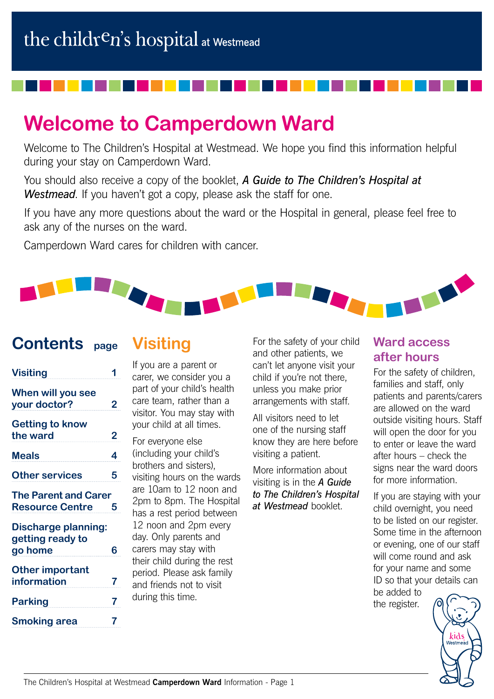# **Welcome to Camperdown Ward**

Welcome to The Children's Hospital at Westmead. We hope you find this information helpful during your stay on Camperdown Ward.

You should also receive a copy of the booklet, *A Guide to The Children's Hospital at Westmead*. If you haven't got a copy, please ask the staff for one.

If you have any more questions about the ward or the Hospital in general, please feel free to ask any of the nurses on the ward.

Camperdown Ward cares for children with cancer.

# THE

## **Contents page**

## **Visiting**

| <b>Visiting</b>                                           |   |
|-----------------------------------------------------------|---|
| When will you see<br>your doctor?                         | 2 |
| <b>Getting to know</b><br>the ward                        | 2 |
| <b>Meals</b>                                              | 4 |
| <b>Other services</b>                                     | 5 |
| <b>The Parent and Carer</b><br><b>Resource Centre</b>     | 5 |
| <b>Discharge planning:</b><br>getting ready to<br>go home | 6 |
| <b>Other important</b><br>information                     | 7 |
| <b>Parking</b>                                            | 7 |
| <b>Smoking area</b>                                       | 7 |

If you are a parent or carer, we consider you a part of your child's health care team, rather than a visitor. You may stay with your child at all times.

For everyone else (including your child's brothers and sisters), visiting hours on the wards are 10am to 12 noon and 2pm to 8pm. The Hospital has a rest period between 12 noon and 2pm every day. Only parents and carers may stay with their child during the rest period. Please ask family and friends not to visit during this time.

For the safety of your child and other patients, we can't let anyone visit your child if you're not there, unless you make prior arrangements with staff.

All visitors need to let one of the nursing staff know they are here before visiting a patient.

More information about visiting is in the *A Guide to The Children's Hospital at Westmead* booklet.

#### **Ward access after hours**

For the safety of children, families and staff, only patients and parents/carers are allowed on the ward outside visiting hours. Staff will open the door for you to enter or leave the ward after hours – check the signs near the ward doors for more information.

If you are staying with your child overnight, you need to be listed on our register. Some time in the afternoon or evening, one of our staff will come round and ask for your name and some ID so that your details can be added to

the register.

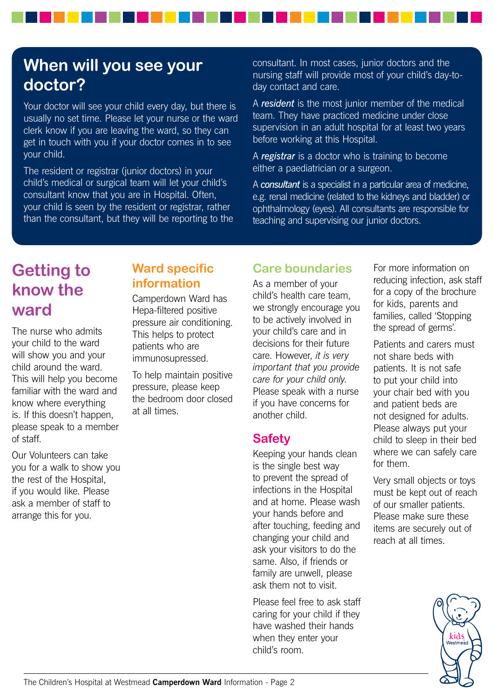# **When will you see your doctor?**

Your doctor will see your child every day, but there is usually no set time. Please let your nurse or the ward clerk know if you are leaving the ward, so they can get in touch with you if your doctor comes in to see your child.

The resident or registrar (junior doctors) in your child's medical or surgical team will let your child's consultant know that you are in Hospital. Often, your child is seen by the resident or registrar, rather than the consultant, but they will be reporting to the consultant. In most cases, junior doctors and the nursing staff will provide most of your child's day-today contact and care.

A *resident* is the most junior member of the medical team. They have practiced medicine under close supervision in an adult hospital for at least two years before working at this Hospital.

A *registrar* is a doctor who is training to become either a paediatrician or a surgeon.

A *consultant* is a specialist in a particular area of medicine, e.g. renal medicine (related to the kidneys and bladder) or ophthalmology (eyes). All consultants are responsible for teaching and supervising our junior doctors.

# **Getting to know the ward**

The nurse who admits your child to the ward will show you and your child around the ward. This will help you become familiar with the ward and know where everything is. If this doesn't happen, please speak to a member of staff.

Our Volunteers can take you for a walk to show you the rest of the Hospital, if you would like. Please ask a member of staff to arrange this for you.

#### **Ward specific information**

Camperdown Ward has Hepa-filtered positive pressure air conditioning. This helps to protect patients who are immunosupressed.

To help maintain positive pressure, please keep the bedroom door closed at all times.

## **Care boundaries**

As a member of your child's health care team, we strongly encourage you to be actively involved in your child's care and in decisions for their future care. However, *it is very important that you provide care for your child only*. Please speak with a nurse if you have concerns for another child.

#### **Safety**

Keeping your hands clean is the single best way to prevent the spread of infections in the Hospital and at home. Please wash your hands before and after touching, feeding and changing your child and ask your visitors to do the same. Also, if friends or family are unwell, please ask them not to visit.

Please feel free to ask staff caring for your child if they have washed their hands when they enter your child's room.

For more information on reducing infection, ask staff for a copy of the brochure for kids, parents and families, called 'Stopping the spread of germs'.

Patients and carers must not share beds with patients. It is not safe to put your child into your chair bed with you and patient beds are not designed for adults. Please always put your child to sleep in their bed where we can safely care for them.

Very small objects or toys must be kept out of reach of our smaller patients. Please make sure these items are securely out of reach at all times.

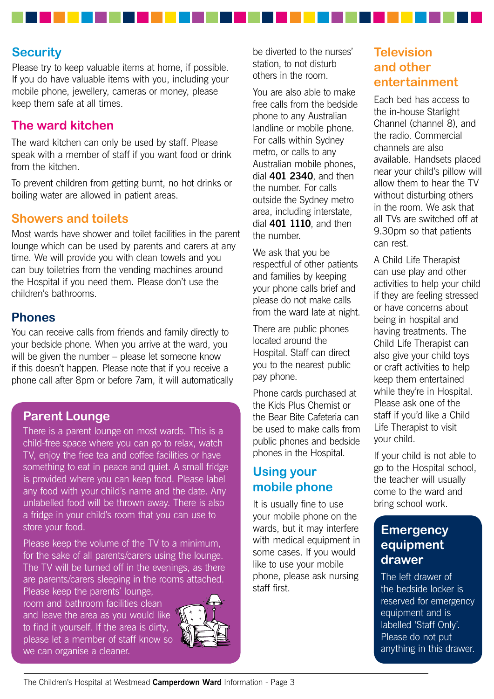#### **Security**

Please try to keep valuable items at home, if possible. If you do have valuable items with you, including your mobile phone, jewellery, cameras or money, please keep them safe at all times.

#### **The ward kitchen**

The ward kitchen can only be used by staff. Please speak with a member of staff if you want food or drink from the kitchen.

To prevent children from getting burnt, no hot drinks or boiling water are allowed in patient areas.

#### **Showers and toilets**

Most wards have shower and toilet facilities in the parent lounge which can be used by parents and carers at any time. We will provide you with clean towels and you can buy toiletries from the vending machines around the Hospital if you need them. Please don't use the children's bathrooms.

#### **Phones**

You can receive calls from friends and family directly to your bedside phone. When you arrive at the ward, you will be given the number – please let someone know if this doesn't happen. Please note that if you receive a phone call after 8pm or before 7am, it will automatically

#### **Parent Lounge**

There is a parent lounge on most wards. This is a child-free space where you can go to relax, watch TV, enjoy the free tea and coffee facilities or have something to eat in peace and quiet. A small fridge is provided where you can keep food. Please label any food with your child's name and the date. Any unlabelled food will be thrown away. There is also a fridge in your child's room that you can use to store your food.

Please keep the volume of the TV to a minimum, for the sake of all parents/carers using the lounge. The TV will be turned off in the evenings, as there are parents/carers sleeping in the rooms attached.

Please keep the parents' lounge, room and bathroom facilities clean and leave the area as you would like to find it yourself. If the area is dirty, please let a member of staff know so we can organise a cleaner.



be diverted to the nurses' station, to not disturb others in the room.

You are also able to make free calls from the bedside phone to any Australian landline or mobile phone. For calls within Sydney metro, or calls to any Australian mobile phones, dial **401 2340**, and then the number. For calls outside the Sydney metro area, including interstate, dial **401 1110**, and then the number.

We ask that you be respectful of other patients and families by keeping your phone calls brief and please do not make calls from the ward late at night.

There are public phones located around the Hospital. Staff can direct you to the nearest public pay phone.

Phone cards purchased at the Kids Plus Chemist or the Bear Bite Cafeteria can be used to make calls from public phones and bedside phones in the Hospital.

## **Using your mobile phone**

It is usually fine to use your mobile phone on the wards, but it may interfere with medical equipment in some cases. If you would like to use your mobile phone, please ask nursing staff first.

#### **Television and other entertainment**

Each bed has access to the in-house Starlight Channel (channel 8), and the radio. Commercial channels are also available. Handsets placed near your child's pillow will allow them to hear the TV without disturbing others in the room. We ask that all TVs are switched off at 9.30pm so that patients can rest.

A Child Life Therapist can use play and other activities to help your child if they are feeling stressed or have concerns about being in hospital and having treatments. The Child Life Therapist can also give your child toys or craft activities to help keep them entertained while they're in Hospital. Please ask one of the staff if you'd like a Child Life Therapist to visit your child.

If your child is not able to go to the Hospital school, the teacher will usually come to the ward and bring school work.

#### **Emergency equipment drawer**

The left drawer of the bedside locker is reserved for emergency equipment and is labelled 'Staff Only'. Please do not put anything in this drawer.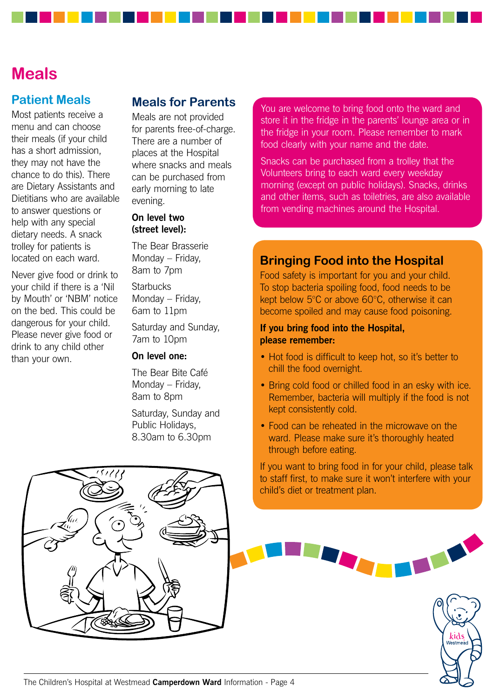## **Meals**

#### **Patient Meals**

Most patients receive a menu and can choose their meals (if your child has a short admission, they may not have the chance to do this). There are Dietary Assistants and Dietitians who are available to answer questions or help with any special dietary needs. A snack trolley for patients is located on each ward.

Never give food or drink to your child if there is a 'Nil by Mouth' or 'NBM' notice on the bed. This could be dangerous for your child. Please never give food or drink to any child other than your own.

#### **Meals for Parents**

Meals are not provided for parents free-of-charge. There are a number of places at the Hospital where snacks and meals can be purchased from early morning to late evening.

#### **On level two (street level):**

The Bear Brasserie Monday – Friday, 8am to 7pm

**Starbucks** Monday – Friday, 6am to 11pm

Saturday and Sunday, 7am to 10pm

#### **On level one:**

The Bear Bite Café Monday – Friday, 8am to 8pm

Saturday, Sunday and Public Holidays, 8.30am to 6.30pm

You are welcome to bring food onto the ward and store it in the fridge in the parents' lounge area or in the fridge in your room. Please remember to mark food clearly with your name and the date.

Snacks can be purchased from a trolley that the Volunteers bring to each ward every weekday morning (except on public holidays). Snacks, drinks and other items, such as toiletries, are also available from vending machines around the Hospital.

#### **Bringing Food into the Hospital**

Food safety is important for you and your child. To stop bacteria spoiling food, food needs to be kept below 5°C or above 60°C, otherwise it can become spoiled and may cause food poisoning.

#### **If you bring food into the Hospital, please remember:**

- Hot food is difficult to keep hot, so it's better to chill the food overnight.
- Bring cold food or chilled food in an esky with ice. Remember, bacteria will multiply if the food is not kept consistently cold.
- Food can be reheated in the microwave on the ward. Please make sure it's thoroughly heated through before eating.

If you want to bring food in for your child, please talk to staff first, to make sure it won't interfere with your child's diet or treatment plan.



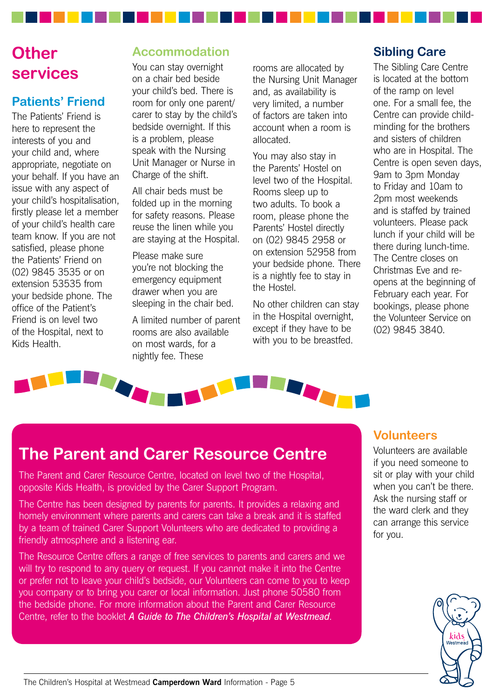# **Other services**

#### **Patients' Friend**

The Patients' Friend is here to represent the interests of you and your child and, where appropriate, negotiate on your behalf. If you have an issue with any aspect of your child's hospitalisation, firstly please let a member of your child's health care team know. If you are not satisfied, please phone the Patients' Friend on (02) 9845 3535 or on extension 53535 from your bedside phone. The office of the Patient's Friend is on level two of the Hospital, next to Kids Health.

### **Accommodation**

You can stay overnight on a chair bed beside your child's bed. There is room for only one parent/ carer to stay by the child's bedside overnight. If this is a problem, please speak with the Nursing Unit Manager or Nurse in Charge of the shift.

All chair beds must be folded up in the morning for safety reasons. Please reuse the linen while you are staying at the Hospital.

Please make sure you're not blocking the emergency equipment drawer when you are sleeping in the chair bed.

A limited number of parent rooms are also available on most wards, for a nightly fee. These

rooms are allocated by the Nursing Unit Manager and, as availability is very limited, a number of factors are taken into account when a room is allocated.

You may also stay in the Parents' Hostel on level two of the Hospital. Rooms sleep up to two adults. To book a room, please phone the Parents' Hostel directly on (02) 9845 2958 or on extension 52958 from your bedside phone. There is a nightly fee to stay in the Hostel.

No other children can stay in the Hospital overnight, except if they have to be with you to be breastfed.

## **Sibling Care**

The Sibling Care Centre is located at the bottom of the ramp on level one. For a small fee, the Centre can provide childminding for the brothers and sisters of children who are in Hospital. The Centre is open seven days, 9am to 3pm Monday to Friday and 10am to 2pm most weekends and is staffed by trained volunteers. Please pack lunch if your child will be there during lunch-time. The Centre closes on Christmas Eve and reopens at the beginning of February each year. For bookings, please phone the Volunteer Service on (02) 9845 3840.



# **The Parent and Carer Resource Centre**

The Parent and Carer Resource Centre, located on level two of the Hospital, opposite Kids Health, is provided by the Carer Support Program.

The Centre has been designed by parents for parents. It provides a relaxing and homely environment where parents and carers can take a break and it is staffed by a team of trained Carer Support Volunteers who are dedicated to providing a friendly atmosphere and a listening ear.

The Resource Centre offers a range of free services to parents and carers and we will try to respond to any query or request. If you cannot make it into the Centre or prefer not to leave your child's bedside, our Volunteers can come to you to keep you company or to bring you carer or local information. Just phone 50580 from the bedside phone. For more information about the Parent and Carer Resource Centre, refer to the booklet *A Guide to The Children's Hospital at Westmead*.

#### **Volunteers**

Volunteers are available if you need someone to sit or play with your child when you can't be there. Ask the nursing staff or the ward clerk and they can arrange this service for you.

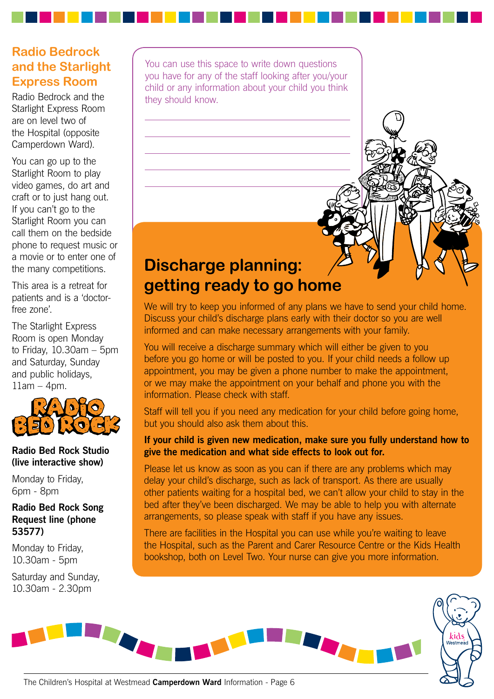## **Radio Bedrock and the Starlight Express Room**

Radio Bedrock and the Starlight Express Room are on level two of the Hospital (opposite Camperdown Ward).

You can go up to the Starlight Room to play video games, do art and craft or to just hang out. If you can't go to the Starlight Room you can call them on the bedside phone to request music or a movie or to enter one of the many competitions.

This area is a retreat for patients and is a 'doctorfree zone'.

The Starlight Express Room is open Monday to Friday, 10.30am – 5pm and Saturday, Sunday and public holidays, 11am – 4pm.



#### **Radio Bed Rock Studio (live interactive show)**

Monday to Friday, 6pm - 8pm

#### **Radio Bed Rock Song Request line (phone 53577)**

Monday to Friday, 10.30am - 5pm

Saturday and Sunday, 10.30am - 2.30pm

You can use this space to write down questions you have for any of the staff looking after you/your child or any information about your child you think they should know.

# **Discharge planning: getting ready to go home**

We will try to keep you informed of any plans we have to send your child home. Discuss your child's discharge plans early with their doctor so you are well informed and can make necessary arrangements with your family.

You will receive a discharge summary which will either be given to you before you go home or will be posted to you. If your child needs a follow up appointment, you may be given a phone number to make the appointment, or we may make the appointment on your behalf and phone you with the information. Please check with staff.

Staff will tell you if you need any medication for your child before going home, but you should also ask them about this.

#### **If your child is given new medication, make sure you fully understand how to give the medication and what side effects to look out for.**

Please let us know as soon as you can if there are any problems which may delay your child's discharge, such as lack of transport. As there are usually other patients waiting for a hospital bed, we can't allow your child to stay in the bed after they've been discharged. We may be able to help you with alternate arrangements, so please speak with staff if you have any issues.

There are facilities in the Hospital you can use while you're waiting to leave the Hospital, such as the Parent and Carer Resource Centre or the Kids Health bookshop, both on Level Two. Your nurse can give you more information.